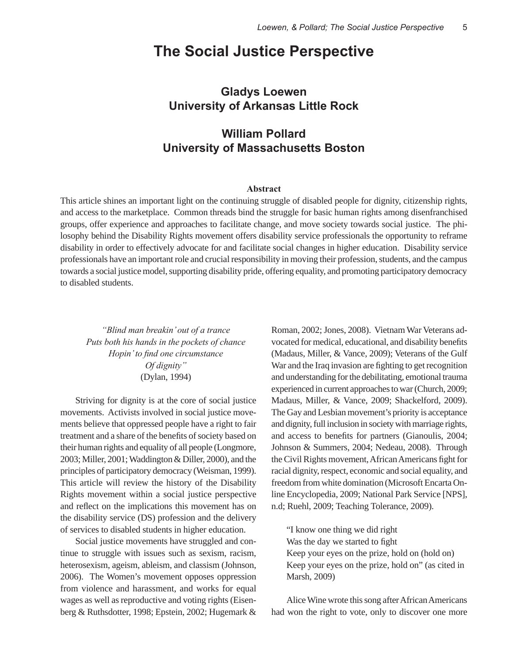### **The Social Justice Perspective**

### **Gladys Loewen University of Arkansas Little Rock**

### **William Pollard University of Massachusetts Boston**

#### **Abstract**

This article shines an important light on the continuing struggle of disabled people for dignity, citizenship rights, and access to the marketplace. Common threads bind the struggle for basic human rights among disenfranchised groups, offer experience and approaches to facilitate change, and move society towards social justice. The philosophy behind the Disability Rights movement offers disability service professionals the opportunity to reframe disability in order to effectively advocate for and facilitate social changes in higher education. Disability service professionals have an important role and crucial responsibility in moving their profession, students, and the campus towards a social justice model, supporting disability pride, offering equality, and promoting participatory democracy to disabled students.

*"Blind man breakin' out of a trance Puts both his hands in the pockets of chance Hopin' to find one circumstance Of dignity"*  (Dylan, 1994)

Striving for dignity is at the core of social justice movements. Activists involved in social justice movements believe that oppressed people have a right to fair treatment and a share of the benefits of society based on their human rights and equality of all people (Longmore, 2003; Miller, 2001; Waddington & Diller, 2000), and the principles of participatory democracy (Weisman, 1999). This article will review the history of the Disability Rights movement within a social justice perspective and reflect on the implications this movement has on the disability service (DS) profession and the delivery of services to disabled students in higher education.

Social justice movements have struggled and continue to struggle with issues such as sexism, racism, heterosexism, ageism, ableism, and classism (Johnson, 2006). The Women's movement opposes oppression from violence and harassment, and works for equal wages as well as reproductive and voting rights (Eisenberg & Ruthsdotter, 1998; Epstein, 2002; Hugemark & Roman, 2002; Jones, 2008). Vietnam War Veterans advocated for medical, educational, and disability benefits (Madaus, Miller, & Vance, 2009); Veterans of the Gulf War and the Iraq invasion are fighting to get recognition and understanding for the debilitating, emotional trauma experienced in current approaches to war (Church, 2009; Madaus, Miller, & Vance, 2009; Shackelford, 2009). The Gay and Lesbian movement's priority is acceptance and dignity, full inclusion in society with marriage rights, and access to benefits for partners (Gianoulis, 2004; Johnson & Summers, 2004; Nedeau, 2008). Through the Civil Rights movement, African Americans fight for racial dignity, respect, economic and social equality, and freedom from white domination (Microsoft Encarta Online Encyclopedia, 2009; National Park Service [NPS], n.d; Ruehl, 2009; Teaching Tolerance, 2009).

"I know one thing we did right Was the day we started to fight Keep your eyes on the prize, hold on (hold on) Keep your eyes on the prize, hold on" (as cited in Marsh, 2009)

Alice Wine wrote this song after African Americans had won the right to vote, only to discover one more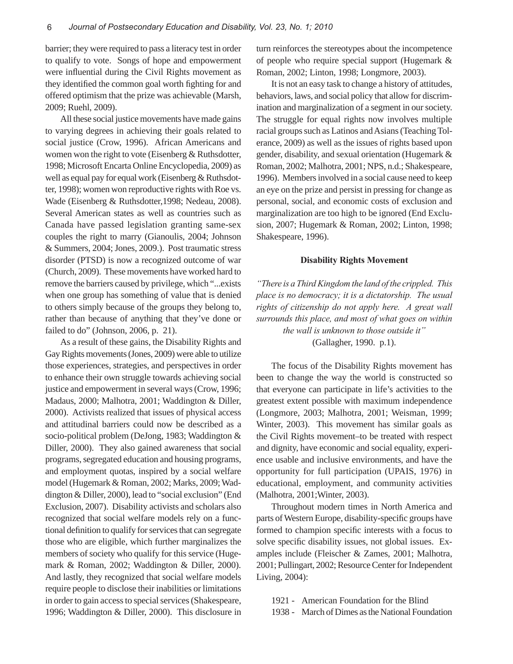barrier; they were required to pass a literacy test in order to qualify to vote. Songs of hope and empowerment were influential during the Civil Rights movement as they identified the common goal worth fighting for and offered optimism that the prize was achievable (Marsh, 2009; Ruehl, 2009).

All these social justice movements have made gains to varying degrees in achieving their goals related to social justice (Crow, 1996). African Americans and women won the right to vote (Eisenberg & Ruthsdotter, 1998; Microsoft Encarta Online Encyclopedia, 2009) as well as equal pay for equal work (Eisenberg & Ruthsdotter, 1998); women won reproductive rights with Roe vs. Wade (Eisenberg & Ruthsdotter,1998; Nedeau, 2008). Several American states as well as countries such as Canada have passed legislation granting same-sex couples the right to marry (Gianoulis, 2004; Johnson & Summers, 2004; Jones, 2009.). Post traumatic stress disorder (PTSD) is now a recognized outcome of war (Church, 2009). These movements have worked hard to remove the barriers caused by privilege, which "...exists when one group has something of value that is denied to others simply because of the groups they belong to, rather than because of anything that they've done or failed to do" (Johnson, 2006, p. 21).

As a result of these gains, the Disability Rights and Gay Rights movements (Jones, 2009) were able to utilize those experiences, strategies, and perspectives in order to enhance their own struggle towards achieving social justice and empowerment in several ways (Crow, 1996; Madaus, 2000; Malhotra, 2001; Waddington & Diller, 2000). Activists realized that issues of physical access and attitudinal barriers could now be described as a socio-political problem (DeJong, 1983; Waddington & Diller, 2000). They also gained awareness that social programs, segregated education and housing programs, and employment quotas, inspired by a social welfare model (Hugemark & Roman, 2002; Marks, 2009; Waddington & Diller, 2000), lead to "social exclusion" (End Exclusion, 2007). Disability activists and scholars also recognized that social welfare models rely on a functional definition to qualify for services that can segregate those who are eligible, which further marginalizes the members of society who qualify for this service (Hugemark & Roman, 2002; Waddington & Diller, 2000). And lastly, they recognized that social welfare models require people to disclose their inabilities or limitations in order to gain access to special services (Shakespeare, 1996; Waddington & Diller, 2000). This disclosure in turn reinforces the stereotypes about the incompetence of people who require special support (Hugemark & Roman, 2002; Linton, 1998; Longmore, 2003).

It is not an easy task to change a history of attitudes, behaviors, laws, and social policy that allow for discrimination and marginalization of a segment in our society. The struggle for equal rights now involves multiple racial groups such as Latinos and Asians (Teaching Tolerance, 2009) as well as the issues of rights based upon gender, disability, and sexual orientation (Hugemark & Roman, 2002; Malhotra, 2001; NPS, n.d.; Shakespeare, 1996). Members involved in a social cause need to keep an eye on the prize and persist in pressing for change as personal, social, and economic costs of exclusion and marginalization are too high to be ignored (End Exclusion, 2007; Hugemark & Roman, 2002; Linton, 1998; Shakespeare, 1996).

#### **Disability Rights Movement**

*"There is a Third Kingdom the land of the crippled. This place is no democracy; it is a dictatorship. The usual rights of citizenship do not apply here. A great wall surrounds this place, and most of what goes on within the wall is unknown to those outside it"*

(Gallagher, 1990. p.1).

The focus of the Disability Rights movement has been to change the way the world is constructed so that everyone can participate in life's activities to the greatest extent possible with maximum independence (Longmore, 2003; Malhotra, 2001; Weisman, 1999; Winter, 2003). This movement has similar goals as the Civil Rights movement–to be treated with respect and dignity, have economic and social equality, experience usable and inclusive environments, and have the opportunity for full participation (UPAIS, 1976) in educational, employment, and community activities (Malhotra, 2001;Winter, 2003).

Throughout modern times in North America and parts of Western Europe, disability-specific groups have formed to champion specific interests with a focus to solve specific disability issues, not global issues. Examples include (Fleischer & Zames, 2001; Malhotra, 2001; Pullingart, 2002; Resource Center for Independent Living, 2004):

1921 - American Foundation for the Blind 1938 - March of Dimes as the National Foundation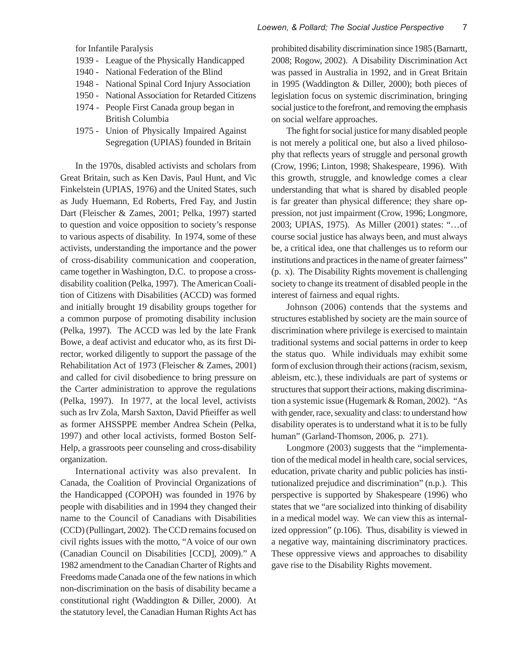for Infantile Paralysis

- 1939 League of the Physically Handicapped
- 1940 National Federation of the Blind
- 1948 National Spinal Cord Injury Association
- 1950 National Association for Retarded Citizens
- 1974 People First Canada group began in British Columbia
- 1975 Union of Physically Impaired Against Segregation (UPIAS) founded in Britain

In the 1970s, disabled activists and scholars from Great Britain, such as Ken Davis, Paul Hunt, and Vic Finkelstein (UPIAS, 1976) and the United States, such as Judy Huemann, Ed Roberts, Fred Fay, and Justin Dart (Fleischer & Zames, 2001; Pelka, 1997) started to question and voice opposition to society's response to various aspects of disability. In 1974, some of these activists, understanding the importance and the power of cross-disability communication and cooperation, came together in Washington, D.C. to propose a crossdisability coalition (Pelka, 1997). The American Coalition of Citizens with Disabilities (ACCD) was formed and initially brought 19 disability groups together for a common purpose of promoting disability inclusion (Pelka, 1997). The ACCD was led by the late Frank Bowe, a deaf activist and educator who, as its first Director, worked diligently to support the passage of the Rehabilitation Act of 1973 (Fleischer & Zames, 2001) and called for civil disobedience to bring pressure on the Carter administration to approve the regulations (Pelka, 1997). In 1977, at the local level, activists such as Irv Zola, Marsh Saxton, David Pfieiffer as well as former AHSSPPE member Andrea Schein (Pelka, 1997) and other local activists, formed Boston Self-Help, a grassroots peer counseling and cross-disability organization.

International activity was also prevalent. In Canada, the Coalition of Provincial Organizations of the Handicapped (COPOH) was founded in 1976 by people with disabilities and in 1994 they changed their name to the Council of Canadians with Disabilities (CCD) (Pullingart, 2002). The CCD remains focused on civil rights issues with the motto, "A voice of our own (Canadian Council on Disabilities [CCD], 2009)." A 1982 amendment to the Canadian Charter of Rights and Freedoms made Canada one of the few nations in which non-discrimination on the basis of disability became a constitutional right (Waddington & Diller, 2000). At the statutory level, the Canadian Human Rights Act has

prohibited disability discrimination since 1985 (Barnartt, 2008; Rogow, 2002). A Disability Discrimination Act was passed in Australia in 1992, and in Great Britain in 1995 (Waddington & Diller, 2000); both pieces of legislation focus on systemic discrimination, bringing social justice to the forefront, and removing the emphasis on social welfare approaches.

The fight for social justice for many disabled people is not merely a political one, but also a lived philosophy that reflects years of struggle and personal growth (Crow, 1996; Linton, 1998; Shakespeare, 1996). With this growth, struggle, and knowledge comes a clear understanding that what is shared by disabled people is far greater than physical difference; they share oppression, not just impairment (Crow, 1996; Longmore, 2003; UPIAS, 1975). As Miller (2001) states: "…of course social justice has always been, and must always be, a critical idea, one that challenges us to reform our institutions and practices in the name of greater fairness" (p. x). The Disability Rights movement is challenging society to change its treatment of disabled people in the interest of fairness and equal rights.

Johnson (2006) contends that the systems and structures established by society are the main source of discrimination where privilege is exercised to maintain traditional systems and social patterns in order to keep the status quo. While individuals may exhibit some form of exclusion through their actions (racism, sexism, ableism, etc.), these individuals are part of systems or structures that support their actions, making discrimination a systemic issue (Hugemark & Roman, 2002). "As with gender, race, sexuality and class: to understand how disability operates is to understand what it is to be fully human" (Garland-Thomson, 2006, p. 271).

Longmore (2003) suggests that the "implementation of the medical model in health care, social services, education, private charity and public policies has institutionalized prejudice and discrimination" (n.p.). This perspective is supported by Shakespeare (1996) who states that we "are socialized into thinking of disability in a medical model way. We can view this as internalized oppression" (p.106). Thus, disability is viewed in a negative way, maintaining discriminatory practices. These oppressive views and approaches to disability gave rise to the Disability Rights movement.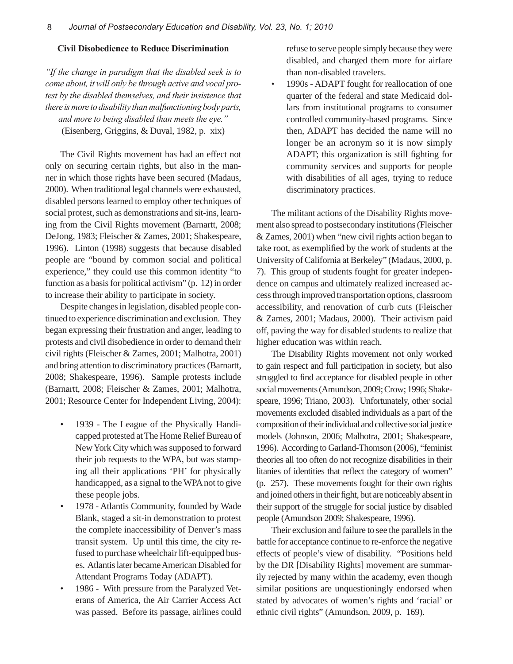#### **Civil Disobedience to Reduce Discrimination**

*"If the change in paradigm that the disabled seek is to come about, it will only be through active and vocal protest by the disabled themselves, and their insistence that there is more to disability than malfunctioning body parts, and more to being disabled than meets the eye."* (Eisenberg, Griggins, & Duval, 1982, p. xix)

The Civil Rights movement has had an effect not only on securing certain rights, but also in the manner in which those rights have been secured (Madaus, 2000). When traditional legal channels were exhausted, disabled persons learned to employ other techniques of social protest, such as demonstrations and sit-ins, learning from the Civil Rights movement (Barnartt, 2008; DeJong, 1983; Fleischer & Zames, 2001; Shakespeare, 1996). Linton (1998) suggests that because disabled people are "bound by common social and political experience," they could use this common identity "to function as a basis for political activism" (p. 12) in order to increase their ability to participate in society.

Despite changes in legislation, disabled people continued to experience discrimination and exclusion. They began expressing their frustration and anger, leading to protests and civil disobedience in order to demand their civil rights (Fleischer & Zames, 2001; Malhotra, 2001) and bring attention to discriminatory practices (Barnartt, 2008; Shakespeare, 1996). Sample protests include (Barnartt, 2008; Fleischer & Zames, 2001; Malhotra, 2001; Resource Center for Independent Living, 2004):

- 1939 The League of the Physically Handicapped protested at The Home Relief Bureau of New York City which was supposed to forward their job requests to the WPA, but was stamping all their applications 'PH' for physically handicapped, as a signal to the WPA not to give these people jobs.
- 1978 Atlantis Community, founded by Wade Blank, staged a sit-in demonstration to protest the complete inaccessibility of Denver's mass transit system. Up until this time, the city refused to purchase wheelchair lift-equipped buses. Atlantis later became American Disabled for Attendant Programs Today (ADAPT).
- 1986 With pressure from the Paralyzed Veterans of America, the Air Carrier Access Act was passed. Before its passage, airlines could

refuse to serve people simply because they were disabled, and charged them more for airfare than non-disabled travelers.

• 1990s - ADAPT fought for reallocation of one quarter of the federal and state Medicaid dollars from institutional programs to consumer controlled community-based programs. Since then, ADAPT has decided the name will no longer be an acronym so it is now simply ADAPT; this organization is still fighting for community services and supports for people with disabilities of all ages, trying to reduce discriminatory practices.

The militant actions of the Disability Rights movement also spread to postsecondary institutions (Fleischer & Zames, 2001) when "new civil rights action began to take root, as exemplified by the work of students at the University of California at Berkeley" (Madaus, 2000, p. 7). This group of students fought for greater independence on campus and ultimately realized increased access through improved transportation options, classroom accessibility, and renovation of curb cuts (Fleischer & Zames, 2001; Madaus, 2000). Their activism paid off, paving the way for disabled students to realize that higher education was within reach.

The Disability Rights movement not only worked to gain respect and full participation in society, but also struggled to find acceptance for disabled people in other social movements (Amundson, 2009; Crow; 1996; Shakespeare, 1996; Triano, 2003). Unfortunately, other social movements excluded disabled individuals as a part of the composition of their individual and collective social justice models (Johnson, 2006; Malhotra, 2001; Shakespeare, 1996). According to Garland-Thomson (2006), "feminist theories all too often do not recognize disabilities in their litanies of identities that reflect the category of women" (p. 257). These movements fought for their own rights and joined others in their fight, but are noticeably absent in their support of the struggle for social justice by disabled people (Amundson 2009; Shakespeare, 1996).

Their exclusion and failure to see the parallels in the battle for acceptance continue to re-enforce the negative effects of people's view of disability. "Positions held by the DR [Disability Rights] movement are summarily rejected by many within the academy, even though similar positions are unquestioningly endorsed when stated by advocates of women's rights and 'racial' or ethnic civil rights" (Amundson, 2009, p. 169).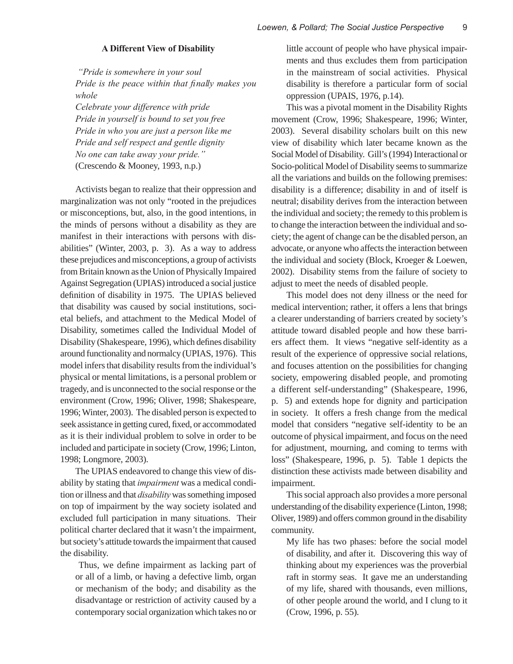#### **A Different View of Disability**

 *"Pride is somewhere in your soul Pride is the peace within that fi nally makes you whole Celebrate your difference with pride Pride in yourself is bound to set you free Pride in who you are just a person like me Pride and self respect and gentle dignity*

*No one can take away your pride."* 

(Crescendo & Mooney, 1993, n.p.)

Activists began to realize that their oppression and marginalization was not only "rooted in the prejudices or misconceptions, but, also, in the good intentions, in the minds of persons without a disability as they are manifest in their interactions with persons with disabilities" (Winter, 2003, p. 3). As a way to address these prejudices and misconceptions, a group of activists from Britain known as the Union of Physically Impaired Against Segregation (UPIAS) introduced a social justice definition of disability in 1975. The UPIAS believed that disability was caused by social institutions, societal beliefs, and attachment to the Medical Model of Disability, sometimes called the Individual Model of Disability (Shakespeare, 1996), which defines disability around functionality and normalcy (UPIAS, 1976). This model infers that disability results from the individual's physical or mental limitations, is a personal problem or tragedy, and is unconnected to the social response or the environment (Crow, 1996; Oliver, 1998; Shakespeare, 1996; Winter, 2003). The disabled person is expected to seek assistance in getting cured, fixed, or accommodated as it is their individual problem to solve in order to be included and participate in society (Crow, 1996; Linton, 1998; Longmore, 2003).

The UPIAS endeavored to change this view of disability by stating that *impairment* was a medical condition or illness and that *disability* was something imposed on top of impairment by the way society isolated and excluded full participation in many situations. Their political charter declared that it wasn't the impairment, but society's attitude towards the impairment that caused the disability.

Thus, we define impairment as lacking part of or all of a limb, or having a defective limb, organ or mechanism of the body; and disability as the disadvantage or restriction of activity caused by a contemporary social organization which takes no or little account of people who have physical impairments and thus excludes them from participation in the mainstream of social activities. Physical disability is therefore a particular form of social oppression (UPAIS, 1976, p.14).

This was a pivotal moment in the Disability Rights movement (Crow, 1996; Shakespeare, 1996; Winter, 2003). Several disability scholars built on this new view of disability which later became known as the Social Model of Disability. Gill's (1994) Interactional or Socio-political Model of Disability seems to summarize all the variations and builds on the following premises: disability is a difference; disability in and of itself is neutral; disability derives from the interaction between the individual and society; the remedy to this problem is to change the interaction between the individual and society; the agent of change can be the disabled person, an advocate, or anyone who affects the interaction between the individual and society (Block, Kroeger & Loewen, 2002). Disability stems from the failure of society to adjust to meet the needs of disabled people.

This model does not deny illness or the need for medical intervention; rather, it offers a lens that brings a clearer understanding of barriers created by society's attitude toward disabled people and how these barriers affect them. It views "negative self-identity as a result of the experience of oppressive social relations, and focuses attention on the possibilities for changing society, empowering disabled people, and promoting a different self-understanding" (Shakespeare, 1996, p. 5) and extends hope for dignity and participation in society. It offers a fresh change from the medical model that considers "negative self-identity to be an outcome of physical impairment, and focus on the need for adjustment, mourning, and coming to terms with loss" (Shakespeare, 1996, p. 5). Table 1 depicts the distinction these activists made between disability and impairment.

This social approach also provides a more personal understanding of the disability experience (Linton, 1998; Oliver, 1989) and offers common ground in the disability community.

My life has two phases: before the social model of disability, and after it. Discovering this way of thinking about my experiences was the proverbial raft in stormy seas. It gave me an understanding of my life, shared with thousands, even millions, of other people around the world, and I clung to it (Crow, 1996, p. 55).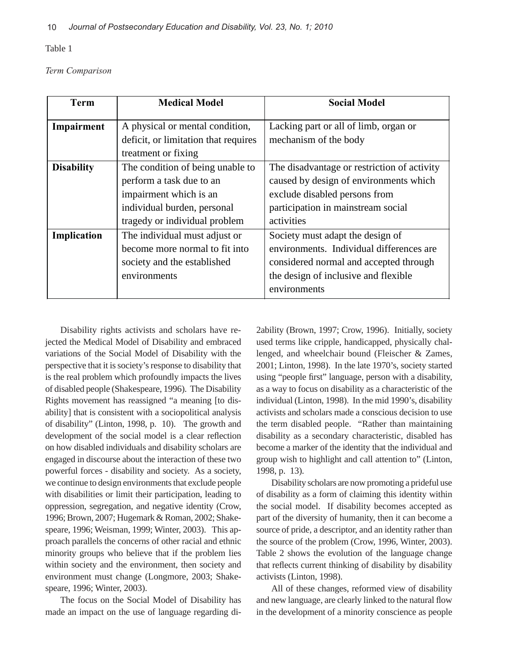Table 1

*Term Comparison*

| <b>Term</b>       | <b>Medical Model</b>                                                    | <b>Social Model</b>                                            |
|-------------------|-------------------------------------------------------------------------|----------------------------------------------------------------|
| Impairment        | A physical or mental condition,<br>deficit, or limitation that requires | Lacking part or all of limb, organ or<br>mechanism of the body |
|                   | treatment or fixing                                                     |                                                                |
| <b>Disability</b> | The condition of being unable to                                        | The disadvantage or restriction of activity                    |
|                   | perform a task due to an                                                | caused by design of environments which                         |
|                   | impairment which is an                                                  | exclude disabled persons from                                  |
|                   | individual burden, personal                                             | participation in mainstream social                             |
|                   | tragedy or individual problem                                           | activities                                                     |
| Implication       | The individual must adjust or                                           | Society must adapt the design of                               |
|                   | become more normal to fit into                                          | environments. Individual differences are                       |
|                   | society and the established                                             | considered normal and accepted through                         |
|                   | environments                                                            | the design of inclusive and flexible                           |
|                   |                                                                         | environments                                                   |

Disability rights activists and scholars have rejected the Medical Model of Disability and embraced variations of the Social Model of Disability with the perspective that it is society's response to disability that is the real problem which profoundly impacts the lives of disabled people (Shakespeare, 1996). The Disability Rights movement has reassigned "a meaning [to disability] that is consistent with a sociopolitical analysis of disability" (Linton, 1998, p. 10). The growth and development of the social model is a clear reflection on how disabled individuals and disability scholars are engaged in discourse about the interaction of these two powerful forces - disability and society. As a society, we continue to design environments that exclude people with disabilities or limit their participation, leading to oppression, segregation, and negative identity (Crow, 1996; Brown, 2007; Hugemark & Roman, 2002; Shakespeare, 1996; Weisman, 1999; Winter, 2003). This approach parallels the concerns of other racial and ethnic minority groups who believe that if the problem lies within society and the environment, then society and environment must change (Longmore, 2003; Shakespeare, 1996; Winter, 2003).

The focus on the Social Model of Disability has made an impact on the use of language regarding di2ability (Brown, 1997; Crow, 1996). Initially, society used terms like cripple, handicapped, physically challenged, and wheelchair bound (Fleischer & Zames, 2001; Linton, 1998). In the late 1970's, society started using "people first" language, person with a disability, as a way to focus on disability as a characteristic of the individual (Linton, 1998). In the mid 1990's, disability activists and scholars made a conscious decision to use the term disabled people. "Rather than maintaining disability as a secondary characteristic, disabled has become a marker of the identity that the individual and group wish to highlight and call attention to" (Linton, 1998, p. 13).

Disability scholars are now promoting a prideful use of disability as a form of claiming this identity within the social model. If disability becomes accepted as part of the diversity of humanity, then it can become a source of pride, a descriptor, and an identity rather than the source of the problem (Crow, 1996, Winter, 2003). Table 2 shows the evolution of the language change that reflects current thinking of disability by disability activists (Linton, 1998).

All of these changes, reformed view of disability and new language, are clearly linked to the natural flow in the development of a minority conscience as people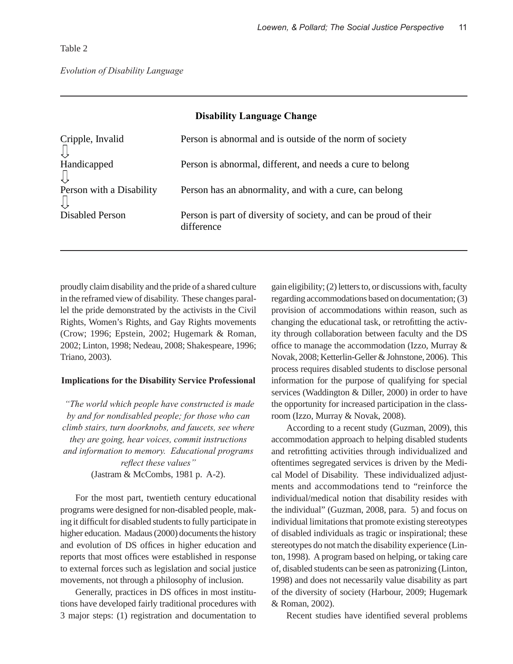Table 2

| Cripple, Invalid         | Person is abnormal and is outside of the norm of society                        |
|--------------------------|---------------------------------------------------------------------------------|
| Handicapped              | Person is abnormal, different, and needs a cure to belong                       |
| Person with a Disability | Person has an abnormality, and with a cure, can belong                          |
| Disabled Person          | Person is part of diversity of society, and can be proud of their<br>difference |

**Disability Language Change**

proudly claim disability and the pride of a shared culture in the reframed view of disability. These changes parallel the pride demonstrated by the activists in the Civil Rights, Women's Rights, and Gay Rights movements (Crow; 1996; Epstein, 2002; Hugemark & Roman, 2002; Linton, 1998; Nedeau, 2008; Shakespeare, 1996; Triano, 2003).

#### **Implications for the Disability Service Professional**

 *"The world which people have constructed is made by and for nondisabled people; for those who can climb stairs, turn doorknobs, and faucets, see where they are going, hear voices, commit instructions and information to memory. Educational programs*   $\mathcal{F}$ *reflect these values*" (Jastram & McCombs, 1981 p. A-2).

For the most part, twentieth century educational programs were designed for non-disabled people, making it difficult for disabled students to fully participate in higher education. Madaus (2000) documents the history and evolution of DS offices in higher education and reports that most offices were established in response to external forces such as legislation and social justice movements, not through a philosophy of inclusion.

Generally, practices in DS offices in most institutions have developed fairly traditional procedures with 3 major steps: (1) registration and documentation to

gain eligibility; (2) letters to, or discussions with, faculty regarding accommodations based on documentation; (3) provision of accommodations within reason, such as changing the educational task, or retrofitting the activity through collaboration between faculty and the DS office to manage the accommodation (Izzo, Murray  $\&$ Novak, 2008; Ketterlin-Geller & Johnstone, 2006). This process requires disabled students to disclose personal information for the purpose of qualifying for special services (Waddington & Diller, 2000) in order to have the opportunity for increased participation in the classroom (Izzo, Murray & Novak, 2008).

According to a recent study (Guzman, 2009), this accommodation approach to helping disabled students and retrofitting activities through individualized and oftentimes segregated services is driven by the Medical Model of Disability. These individualized adjustments and accommodations tend to "reinforce the individual/medical notion that disability resides with the individual" (Guzman, 2008, para. 5) and focus on individual limitations that promote existing stereotypes of disabled individuals as tragic or inspirational; these stereotypes do not match the disability experience (Linton, 1998). A program based on helping, or taking care of, disabled students can be seen as patronizing (Linton, 1998) and does not necessarily value disability as part of the diversity of society (Harbour, 2009; Hugemark & Roman, 2002).

Recent studies have identified several problems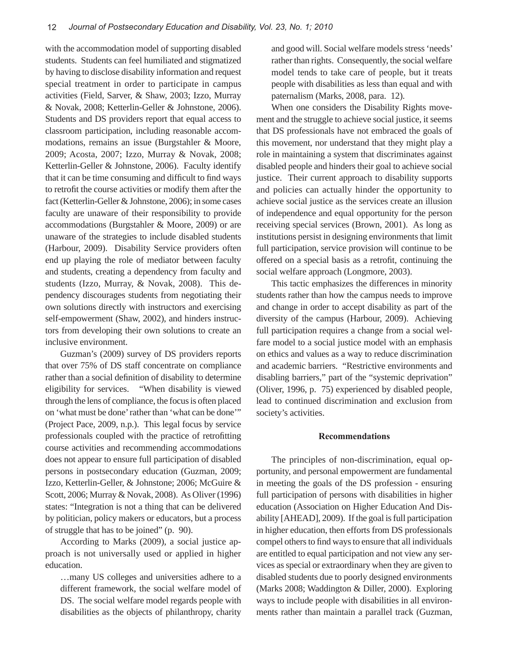with the accommodation model of supporting disabled students. Students can feel humiliated and stigmatized by having to disclose disability information and request special treatment in order to participate in campus activities (Field, Sarver, & Shaw, 2003; Izzo, Murray & Novak, 2008; Ketterlin-Geller & Johnstone, 2006). Students and DS providers report that equal access to classroom participation, including reasonable accommodations, remains an issue (Burgstahler & Moore, 2009; Acosta, 2007; Izzo, Murray & Novak, 2008; Ketterlin-Geller & Johnstone, 2006). Faculty identify that it can be time consuming and difficult to find ways to retrofit the course activities or modify them after the fact (Ketterlin-Geller & Johnstone, 2006); in some cases faculty are unaware of their responsibility to provide accommodations (Burgstahler & Moore, 2009) or are unaware of the strategies to include disabled students (Harbour, 2009). Disability Service providers often end up playing the role of mediator between faculty and students, creating a dependency from faculty and students (Izzo, Murray, & Novak, 2008). This dependency discourages students from negotiating their own solutions directly with instructors and exercising self-empowerment (Shaw, 2002), and hinders instructors from developing their own solutions to create an inclusive environment.

Guzman's (2009) survey of DS providers reports that over 75% of DS staff concentrate on compliance rather than a social definition of disability to determine eligibility for services. "When disability is viewed through the lens of compliance, the focus is often placed on 'what must be done' rather than 'what can be done'" (Project Pace, 2009, n.p.). This legal focus by service professionals coupled with the practice of retrofitting course activities and recommending accommodations does not appear to ensure full participation of disabled persons in postsecondary education (Guzman, 2009; Izzo, Ketterlin-Geller, & Johnstone; 2006; McGuire & Scott, 2006; Murray & Novak, 2008). As Oliver (1996) states: "Integration is not a thing that can be delivered by politician, policy makers or educators, but a process of struggle that has to be joined" (p. 90).

According to Marks (2009), a social justice approach is not universally used or applied in higher education.

…many US colleges and universities adhere to a different framework, the social welfare model of DS. The social welfare model regards people with disabilities as the objects of philanthropy, charity

and good will. Social welfare models stress 'needs' rather than rights. Consequently, the social welfare model tends to take care of people, but it treats people with disabilities as less than equal and with paternalism (Marks, 2008, para. 12).

When one considers the Disability Rights movement and the struggle to achieve social justice, it seems that DS professionals have not embraced the goals of this movement, nor understand that they might play a role in maintaining a system that discriminates against disabled people and hinders their goal to achieve social justice. Their current approach to disability supports and policies can actually hinder the opportunity to achieve social justice as the services create an illusion of independence and equal opportunity for the person receiving special services (Brown, 2001). As long as institutions persist in designing environments that limit full participation, service provision will continue to be offered on a special basis as a retrofit, continuing the social welfare approach (Longmore, 2003).

This tactic emphasizes the differences in minority students rather than how the campus needs to improve and change in order to accept disability as part of the diversity of the campus (Harbour, 2009). Achieving full participation requires a change from a social welfare model to a social justice model with an emphasis on ethics and values as a way to reduce discrimination and academic barriers. "Restrictive environments and disabling barriers," part of the "systemic deprivation" (Oliver, 1996, p. 75) experienced by disabled people, lead to continued discrimination and exclusion from society's activities.

#### **Recommendations**

The principles of non-discrimination, equal opportunity, and personal empowerment are fundamental in meeting the goals of the DS profession - ensuring full participation of persons with disabilities in higher education (Association on Higher Education And Disability [AHEAD], 2009). If the goal is full participation in higher education, then efforts from DS professionals compel others to find ways to ensure that all individuals are entitled to equal participation and not view any services as special or extraordinary when they are given to disabled students due to poorly designed environments (Marks 2008; Waddington & Diller, 2000). Exploring ways to include people with disabilities in all environments rather than maintain a parallel track (Guzman,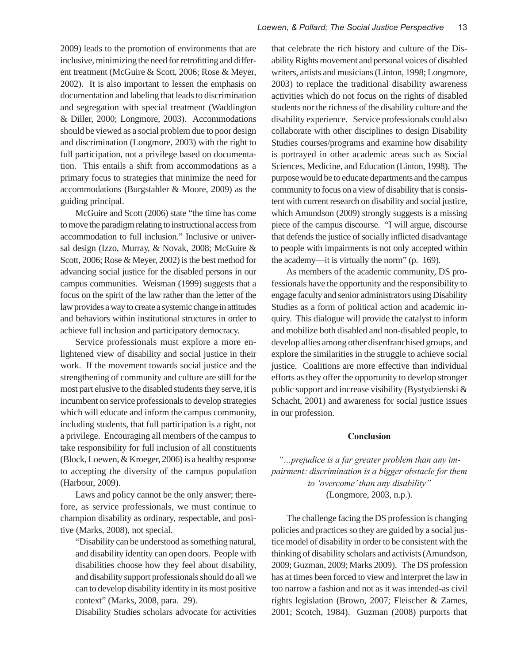2009) leads to the promotion of environments that are inclusive, minimizing the need for retrofitting and different treatment (McGuire & Scott, 2006; Rose & Meyer, 2002). It is also important to lessen the emphasis on documentation and labeling that leads to discrimination and segregation with special treatment (Waddington & Diller, 2000; Longmore, 2003). Accommodations should be viewed as a social problem due to poor design and discrimination (Longmore, 2003) with the right to full participation, not a privilege based on documentation. This entails a shift from accommodations as a primary focus to strategies that minimize the need for accommodations (Burgstahler & Moore, 2009) as the guiding principal.

McGuire and Scott (2006) state "the time has come to move the paradigm relating to instructional access from accommodation to full inclusion." Inclusive or universal design (Izzo, Murray, & Novak, 2008; McGuire & Scott, 2006; Rose & Meyer, 2002) is the best method for advancing social justice for the disabled persons in our campus communities. Weisman (1999) suggests that a focus on the spirit of the law rather than the letter of the law provides a way to create a systemic change in attitudes and behaviors within institutional structures in order to achieve full inclusion and participatory democracy.

Service professionals must explore a more enlightened view of disability and social justice in their work. If the movement towards social justice and the strengthening of community and culture are still for the most part elusive to the disabled students they serve, it is incumbent on service professionals to develop strategies which will educate and inform the campus community, including students, that full participation is a right, not a privilege. Encouraging all members of the campus to take responsibility for full inclusion of all constituents (Block, Loewen, & Kroeger, 2006) is a healthy response to accepting the diversity of the campus population (Harbour, 2009).

Laws and policy cannot be the only answer; therefore, as service professionals, we must continue to champion disability as ordinary, respectable, and positive (Marks, 2008), not special.

"Disability can be understood as something natural, and disability identity can open doors. People with disabilities choose how they feel about disability, and disability support professionals should do all we can to develop disability identity in its most positive context" (Marks, 2008, para. 29).

Disability Studies scholars advocate for activities

that celebrate the rich history and culture of the Disability Rights movement and personal voices of disabled writers, artists and musicians (Linton, 1998; Longmore, 2003) to replace the traditional disability awareness activities which do not focus on the rights of disabled students nor the richness of the disability culture and the disability experience. Service professionals could also collaborate with other disciplines to design Disability Studies courses/programs and examine how disability is portrayed in other academic areas such as Social Sciences, Medicine, and Education (Linton, 1998). The purpose would be to educate departments and the campus community to focus on a view of disability that is consistent with current research on disability and social justice, which Amundson (2009) strongly suggests is a missing piece of the campus discourse. "I will argue, discourse that defends the justice of socially inflicted disadvantage to people with impairments is not only accepted within the academy—it is virtually the norm" (p. 169).

As members of the academic community, DS professionals have the opportunity and the responsibility to engage faculty and senior administrators using Disability Studies as a form of political action and academic inquiry. This dialogue will provide the catalyst to inform and mobilize both disabled and non-disabled people, to develop allies among other disenfranchised groups, and explore the similarities in the struggle to achieve social justice. Coalitions are more effective than individual efforts as they offer the opportunity to develop stronger public support and increase visibility (Bystydzienski & Schacht, 2001) and awareness for social justice issues in our profession.

#### **Conclusion**

*"…prejudice is a far greater problem than any impairment: discrimination is a bigger obstacle for them to 'overcome' than any disability"*  (Longmore, 2003, n.p.).

The challenge facing the DS profession is changing policies and practices so they are guided by a social justice model of disability in order to be consistent with the thinking of disability scholars and activists (Amundson, 2009; Guzman, 2009; Marks 2009). The DS profession has at times been forced to view and interpret the law in too narrow a fashion and not as it was intended-as civil rights legislation (Brown, 2007; Fleischer & Zames, 2001; Scotch, 1984). Guzman (2008) purports that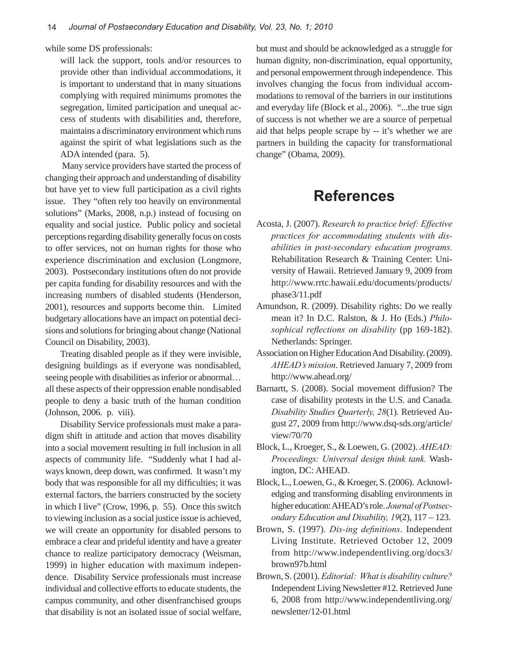while some DS professionals:

will lack the support, tools and/or resources to provide other than individual accommodations, it is important to understand that in many situations complying with required minimums promotes the segregation, limited participation and unequal access of students with disabilities and, therefore, maintains a discriminatory environment which runs against the spirit of what legislations such as the ADA intended (para. 5).

 Many service providers have started the process of changing their approach and understanding of disability but have yet to view full participation as a civil rights issue. They "often rely too heavily on environmental solutions" (Marks, 2008, n.p.) instead of focusing on equality and social justice. Public policy and societal perceptions regarding disability generally focus on costs to offer services, not on human rights for those who experience discrimination and exclusion (Longmore, 2003). Postsecondary institutions often do not provide per capita funding for disability resources and with the increasing numbers of disabled students (Henderson, 2001), resources and supports become thin. Limited budgetary allocations have an impact on potential decisions and solutions for bringing about change (National Council on Disability, 2003).

Treating disabled people as if they were invisible, designing buildings as if everyone was nondisabled, seeing people with disabilities as inferior or abnormal… all these aspects of their oppression enable nondisabled people to deny a basic truth of the human condition (Johnson, 2006. p. viii).

Disability Service professionals must make a paradigm shift in attitude and action that moves disability into a social movement resulting in full inclusion in all aspects of community life. "Suddenly what I had always known, deep down, was confirmed. It wasn't my body that was responsible for all my difficulties; it was external factors, the barriers constructed by the society in which I live" (Crow, 1996, p. 55). Once this switch to viewing inclusion as a social justice issue is achieved, we will create an opportunity for disabled persons to embrace a clear and prideful identity and have a greater chance to realize participatory democracy (Weisman, 1999) in higher education with maximum independence. Disability Service professionals must increase individual and collective efforts to educate students, the campus community, and other disenfranchised groups that disability is not an isolated issue of social welfare,

but must and should be acknowledged as a struggle for human dignity, non-discrimination, equal opportunity, and personal empowerment through independence. This involves changing the focus from individual accommodations to removal of the barriers in our institutions and everyday life (Block et al., 2006). "...the true sign of success is not whether we are a source of perpetual aid that helps people scrape by -- it's whether we are partners in building the capacity for transformational change" (Obama, 2009).

## **References**

- Acosta, J. (2007). *Research to practice brief: Effective practices for accommodating students with disabilities in post-secondary education programs.*  Rehabilitation Research & Training Center: University of Hawaii. Retrieved January 9, 2009 from http://www.rrtc.hawaii.edu/documents/products/ phase3/11.pdf
- Amundson, R. (2009). Disability rights: Do we really mean it? In D.C. Ralston, & J. Ho (Eds.) *Philo*sophical reflections on disability (pp 169-182). Netherlands: Springer.
- Association on Higher Education And Disability. (2009). *AHEAD's mission*. Retrieved January 7, 2009 from http://www.ahead.org/
- Barnartt, S. (2008). Social movement diffusion? The case of disability protests in the U.S. and Canada. *Disability Studies Quarterly, 28*(1). Retrieved August 27, 2009 from http://www.dsq-sds.org/article/ view/70/70
- Block, L., Kroeger, S., & Loewen, G. (2002). *AHEAD: Proceedings: Universal design think tank.* Washington, DC: AHEAD.
- Block, L., Loewen, G., & Kroeger, S. (2006). Acknowledging and transforming disabling environments in higher education: AHEAD's role. *Journal of Postsecondary Education and Disability, 19*(2), 117 – 123.
- Brown, S. (1997). *Dis-ing definitions*. Independent Living Institute. Retrieved October 12, 2009 from http://www.independentliving.org/docs3/ brown97b.html
- Brown, S. (2001). *Editorial: What is disability culture?* Independent Living Newsletter #12. Retrieved June 6, 2008 from http://www.independentliving.org/ newsletter/12-01.html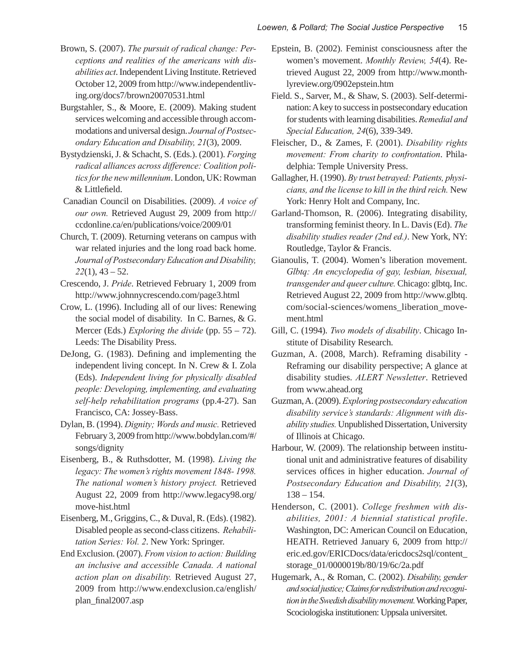- Brown, S. (2007). *The pursuit of radical change: Perceptions and realities of the americans with disabilities act*. Independent Living Institute. Retrieved October 12, 2009 from http://www.independentliving.org/docs7/brown20070531.html
- Burgstahler, S., & Moore, E. (2009). Making student services welcoming and accessible through accommodations and universal design. *Journal of Postsecondary Education and Disability, 21*(3), 2009.
- Bystydzienski, J. & Schacht, S. (Eds.). (2001). *Forging radical alliances across difference: Coalition politics for the new millennium*. London, UK: Rowman & Littlefield.
- Canadian Council on Disabilities. (2009). *A voice of our own.* Retrieved August 29, 2009 from http:// ccdonline.ca/en/publications/voice/2009/01
- Church, T. (2009). Returning veterans on campus with war related injuries and the long road back home. *Journal of Postsecondary Education and Disability, 22*(1), 43 – 52.
- Crescendo, J. *Pride*. Retrieved February 1, 2009 from http://www.johnnycrescendo.com/page3.html
- Crow, L. (1996). Including all of our lives: Renewing the social model of disability. In C. Barnes, & G. Mercer (Eds.) *Exploring the divide* (pp. 55 – 72). Leeds: The Disability Press.
- DeJong, G. (1983). Defining and implementing the independent living concept. In N. Crew & I. Zola (Eds). *Independent living for physically disabled people: Developing, implementing, and evaluating self-help rehabilitation programs* (pp.4-27). San Francisco, CA: Jossey-Bass.
- Dylan, B. (1994). *Dignity; Words and music.* Retrieved February 3, 2009 from http://www.bobdylan.com/#/ songs/dignity
- Eisenberg, B., & Ruthsdotter, M. (1998). *Living the*  legacy: The women's rights movement 1848-1998. *The national women's history project.* Retrieved August 22, 2009 from http://www.legacy98.org/ move-hist.html
- Eisenberg, M., Griggins, C., & Duval, R. (Eds). (1982). Disabled people as second-class citizens. *Rehabilitation Series: Vol. 2*. New York: Springer.
- End Exclusion. (2007). *From vision to action: Building an inclusive and accessible Canada. A national action plan on disability.* Retrieved August 27, 2009 from http://www.endexclusion.ca/english/ plan\_final2007.asp
- Epstein, B. (2002). Feminist consciousness after the women's movement. *Monthly Review, 54*(4). Retrieved August 22, 2009 from http://www.monthlyreview.org/0902epstein.htm
- Field. S., Sarver, M., & Shaw, S. (2003). Self-determination: A key to success in postsecondary education for students with learning disabilities. *Remedial and Special Education, 24*(6), 339-349.
- Fleischer, D., & Zames, F. (2001). *Disability rights movement: From charity to confrontation*. Philadelphia: Temple University Press.
- Gallagher, H. (1990). *By trust betrayed: Patients, physicians, and the license to kill in the third reich.* New York: Henry Holt and Company, Inc.
- Garland-Thomson, R. (2006). Integrating disability, transforming feminist theory. In L. Davis (Ed). *The disability studies reader (2nd ed.)*. New York, NY: Routledge, Taylor & Francis.
- Gianoulis, T. (2004). Women's liberation movement. *Glbtq: An encyclopedia of gay, lesbian, bisexual, transgender and queer culture.* Chicago: glbtq, Inc. Retrieved August 22, 2009 from http://www.glbtq. com/social-sciences/womens\_liberation\_movement.html
- Gill, C. (1994). *Two models of disability*. Chicago Institute of Disability Research.
- Guzman, A. (2008, March). Reframing disability Reframing our disability perspective; A glance at disability studies. *ALERT Newsletter*. Retrieved from www.ahead.org
- Guzman, A. (2009). *Exploring postsecondary education disability service's standards: Alignment with disability studies.* Unpublished Dissertation, University of Illinois at Chicago.
- Harbour, W. (2009). The relationship between institutional unit and administrative features of disability services offices in higher education. *Journal of Postsecondary Education and Disability, 21*(3), 138 – 154.
- Henderson, C. (2001). *College freshmen with disabilities, 2001: A biennial statistical profile*. Washington, DC: American Council on Education, HEATH. Retrieved January 6, 2009 from http:// eric.ed.gov/ERICDocs/data/ericdocs2sql/content\_ storage\_01/0000019b/80/19/6c/2a.pdf
- Hugemark, A., & Roman, C. (2002). *Disability, gender and social justice; Claims for redistribution and recognition in the Swedish disability movement.* Working Paper, Scociologiska institutionen: Uppsala universitet.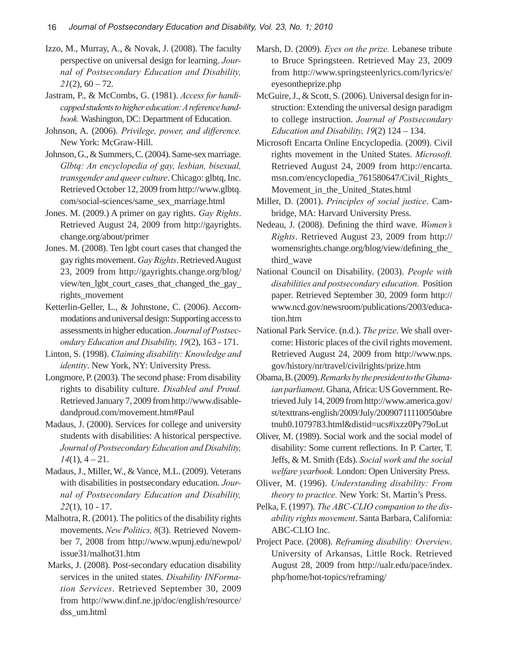- Izzo, M., Murray, A., & Novak, J. (2008). The faculty perspective on universal design for learning. *Journal of Postsecondary Education and Disability,*   $2I(2)$ , 60 – 72.
- Jastram, P., & McCombs, G. (1981). *Access for handicapped students to higher education: A reference handbook.* Washington, DC: Department of Education.
- Johnson, A. (2006). *Privilege, power, and difference.*  New York: McGraw-Hill.
- Johnson, G., & Summers, C. (2004). Same-sex marriage. *Glbtq: An encyclopedia of gay, lesbian, bisexual, transgender and queer culture*. Chicago: glbtq, Inc. Retrieved October 12, 2009 from http://www.glbtq. com/social-sciences/same\_sex\_marriage.html
- Jones. M. (2009.) A primer on gay rights. *Gay Rights*. Retrieved August 24, 2009 from http://gayrights. change.org/about/primer
- Jones. M. (2008). Ten lgbt court cases that changed the gay rights movement. *Gay Rights*. Retrieved August 23, 2009 from http://gayrights.change.org/blog/ view/ten\_lgbt\_court\_cases\_that\_changed\_the\_gay\_ rights\_movement
- Ketterlin-Geller, L., & Johnstone, C. (2006). Accommodations and universal design: Supporting access to assessments in higher education. *Journal of Postsecondary Education and Disability, 19*(2), 163 - 171.
- Linton, S. (1998). *Claiming disability: Knowledge and identity*. New York, NY: University Press.
- Longmore, P. (2003). The second phase: From disability rights to disability culture. *Disabled and Proud.*  Retrieved January 7, 2009 from http://www.disabledandproud.com/movement.htm#Paul
- Madaus, J. (2000). Services for college and university students with disabilities: A historical perspective. *Journal of Postsecondary Education and Disability, 14*(1), 4 – 21.
- Madaus, J., Miller, W., & Vance, M.L. (2009). Veterans with disabilities in postsecondary education. *Journal of Postsecondary Education and Disability, 22*(1), 10 - 17.
- Malhotra, R. (2001). The politics of the disability rights movements. *New Politics, 8*(3). Retrieved November 7, 2008 from http://www.wpunj.edu/newpol/ issue31/malhot31.htm
- Marks, J. (2008). Post-secondary education disability services in the united states. *Disability INFormation Services*. Retrieved September 30, 2009 from http://www.dinf.ne.jp/doc/english/resource/ dss\_um.html
- Marsh, D. (2009). *Eyes on the prize.* Lebanese tribute to Bruce Springsteen. Retrieved May 23, 2009 from http://www.springsteenlyrics.com/lyrics/e/ eyesontheprize.php
- McGuire, J., & Scott, S. (2006). Universal design for instruction: Extending the universal design paradigm to college instruction. *Journal of Postsecondary Education and Disability, 19*(2) 124 – 134.
- Microsoft Encarta Online Encyclopedia. (2009). Civil rights movement in the United States. *Microsoft.*  Retrieved August 24, 2009 from http://encarta. msn.com/encyclopedia\_761580647/Civil\_Rights\_ Movement\_in\_the\_United\_States.html
- Miller, D. (2001). *Principles of social justice*. Cambridge, MA: Harvard University Press.
- Nedeau, J. (2008). Defining the third wave. *Women's Rights*. Retrieved August 23, 2009 from http:// womensrights.change.org/blog/view/defining\_the\_ third\_wave
- National Council on Disability. (2003). *People with disabilities and postsecondary education.* Position paper. Retrieved September 30, 2009 form http:// www.ncd.gov/newsroom/publications/2003/education.htm
- National Park Service. (n.d.). *The prize*. We shall overcome: Historic places of the civil rights movement. Retrieved August 24, 2009 from http://www.nps. gov/history/nr/travel/civilrights/prize.htm
- Obama, B. (2009). *Remarks by the president to the Ghanaian parliament*. Ghana, Africa: US Government. Retrieved July 14, 2009 from http://www.america.gov/ st/texttrans-english/2009/July/20090711110050abre tnuh0.1079783.html&distid=ucs#ixzz0Py79oLut
- Oliver, M. (1989). Social work and the social model of disability: Some current reflections. In P. Carter, T. Jeffs, & M. Smith (Eds). *Social work and the social welfare yearbook.* London: Open University Press.
- Oliver, M. (1996). *Understanding disability: From theory to practice.* New York: St. Martin's Press.
- Pelka, F. (1997). *The ABC-CLIO companion to the disability rights movement*. Santa Barbara, California: ABC-CLIO Inc.
- Project Pace. (2008). *Reframing disability: Overview*. University of Arkansas, Little Rock. Retrieved August 28, 2009 from http://ualr.edu/pace/index. php/home/hot-topics/reframing/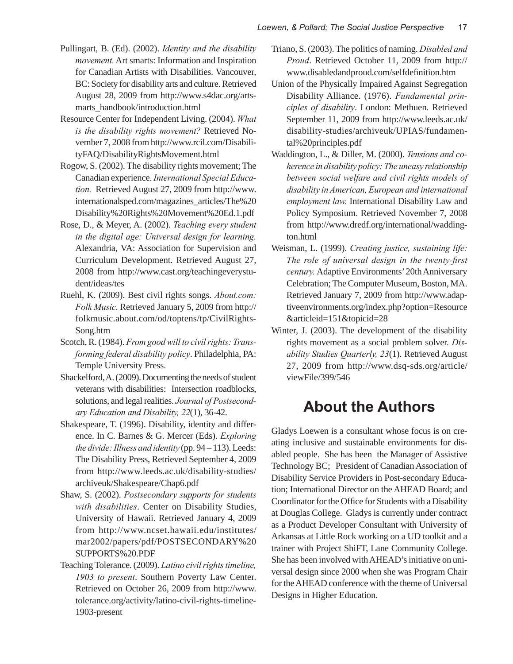- Pullingart, B. (Ed). (2002). *Identity and the disability movement.* Art smarts: Information and Inspiration for Canadian Artists with Disabilities. Vancouver, BC: Society for disability arts and culture. Retrieved August 28, 2009 from http://www.s4dac.org/artsmarts\_handbook/introduction.html
- Resource Center for Independent Living. (2004). *What is the disability rights movement?* Retrieved November 7, 2008 from http://www.rcil.com/DisabilityFAQ/DisabilityRightsMovement.html
- Rogow, S. (2002). The disability rights movement; The Canadian experience. *International Special Education.* Retrieved August 27, 2009 from http://www. internationalsped.com/magazines\_articles/The%20 Disability%20Rights%20Movement%20Ed.1.pdf
- Rose, D., & Meyer, A. (2002). *Teaching every student in the digital age: Universal design for learning.*  Alexandria, VA: Association for Supervision and Curriculum Development. Retrieved August 27, 2008 from http://www.cast.org/teachingeverystudent/ideas/tes
- Ruehl, K. (2009). Best civil rights songs. *About.com: Folk Music.* Retrieved January 5, 2009 from http:// folkmusic.about.com/od/toptens/tp/CivilRights-Song.htm
- Scotch, R. (1984). *From good will to civil rights: Transforming federal disability policy*. Philadelphia, PA: Temple University Press.
- Shackelford, A. (2009). Documenting the needs of student veterans with disabilities: Intersection roadblocks, solutions, and legal realities. *Journal of Postsecondary Education and Disability, 22*(1), 36-42.
- Shakespeare, T. (1996). Disability, identity and difference. In C. Barnes & G. Mercer (Eds). *Exploring the divide: Illness and identity* (pp. 94 – 113). Leeds: The Disability Press, Retrieved September 4, 2009 from http://www.leeds.ac.uk/disability-studies/ archiveuk/Shakespeare/Chap6.pdf
- Shaw, S. (2002). *Postsecondary supports for students with disabilities*. Center on Disability Studies, University of Hawaii. Retrieved January 4, 2009 from http://www.ncset.hawaii.edu/institutes/ mar2002/papers/pdf/POSTSECONDARY%20 SUPPORTS%20.PDF
- Teaching Tolerance. (2009). *Latino civil rights timeline, 1903 to present*. Southern Poverty Law Center. Retrieved on October 26, 2009 from http://www. tolerance.org/activity/latino-civil-rights-timeline-1903-present
- Triano, S. (2003). The politics of naming. *Disabled and Proud*. Retrieved October 11, 2009 from http:// www.disabledandproud.com/selfdefinition.htm
- Union of the Physically Impaired Against Segregation Disability Alliance. (1976). *Fundamental principles of disability*. London: Methuen. Retrieved September 11, 2009 from http://www.leeds.ac.uk/ disability-studies/archiveuk/UPIAS/fundamental%20principles.pdf
- Waddington, L., & Diller, M. (2000). *Tensions and coherence in disability policy: The uneasy relationship between social welfare and civil rights models of disability in American, European and international employment law.* International Disability Law and Policy Symposium. Retrieved November 7, 2008 from http://www.dredf.org/international/waddington.html
- Weisman, L. (1999). *Creating justice, sustaining life: The role of universal design in the twenty-first century.* Adaptive Environments' 20th Anniversary Celebration; The Computer Museum, Boston, MA. Retrieved January 7, 2009 from http://www.adaptiveenvironments.org/index.php?option=Resource &articleid=151&topicid=28
- Winter, J. (2003). The development of the disability rights movement as a social problem solver. *Disability Studies Quarterly, 23*(1). Retrieved August 27, 2009 from http://www.dsq-sds.org/article/ viewFile/399/546

# **About the Authors**

Gladys Loewen is a consultant whose focus is on creating inclusive and sustainable environments for disabled people. She has been the Manager of Assistive Technology BC; President of Canadian Association of Disability Service Providers in Post-secondary Education; International Director on the AHEAD Board; and Coordinator for the Office for Students with a Disability at Douglas College. Gladys is currently under contract as a Product Developer Consultant with University of Arkansas at Little Rock working on a UD toolkit and a trainer with Project ShiFT, Lane Community College. She has been involved with AHEAD's initiative on universal design since 2000 when she was Program Chair for the AHEAD conference with the theme of Universal Designs in Higher Education.